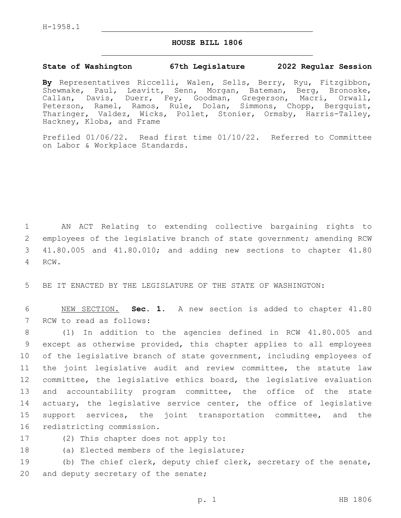H-1958.1

## **HOUSE BILL 1806**

## **State of Washington 67th Legislature 2022 Regular Session**

**By** Representatives Riccelli, Walen, Sells, Berry, Ryu, Fitzgibbon, Shewmake, Paul, Leavitt, Senn, Morgan, Bateman, Berg, Bronoske, Callan, Davis, Duerr, Fey, Goodman, Gregerson, Macri, Orwall, Peterson, Ramel, Ramos, Rule, Dolan, Simmons, Chopp, Bergquist, Tharinger, Valdez, Wicks, Pollet, Stonier, Ormsby, Harris-Talley, Hackney, Kloba, and Frame

Prefiled 01/06/22. Read first time 01/10/22. Referred to Committee on Labor & Workplace Standards.

1 AN ACT Relating to extending collective bargaining rights to 2 employees of the legislative branch of state government; amending RCW 3 41.80.005 and 41.80.010; and adding new sections to chapter 41.80 4 RCW.

5 BE IT ENACTED BY THE LEGISLATURE OF THE STATE OF WASHINGTON:

6 NEW SECTION. **Sec. 1.** A new section is added to chapter 41.80 7 RCW to read as follows:

 (1) In addition to the agencies defined in RCW 41.80.005 and except as otherwise provided, this chapter applies to all employees of the legislative branch of state government, including employees of the joint legislative audit and review committee, the statute law committee, the legislative ethics board, the legislative evaluation and accountability program committee, the office of the state 14 actuary, the legislative service center, the office of legislative support services, the joint transportation committee, and the 16 redistricting commission.

- 17 (2) This chapter does not apply to:
- 18 (a) Elected members of the legislature;

19 (b) The chief clerk, deputy chief clerk, secretary of the senate, 20 and deputy secretary of the senate;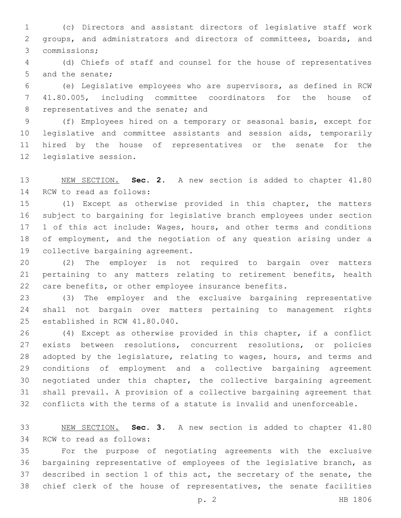(c) Directors and assistant directors of legislative staff work groups, and administrators and directors of committees, boards, and commissions;3

 (d) Chiefs of staff and counsel for the house of representatives 5 and the senate;

 (e) Legislative employees who are supervisors, as defined in RCW 41.80.005, including committee coordinators for the house of 8 representatives and the senate; and

 (f) Employees hired on a temporary or seasonal basis, except for legislative and committee assistants and session aids, temporarily hired by the house of representatives or the senate for the 12 legislative session.

 NEW SECTION. **Sec. 2.** A new section is added to chapter 41.80 14 RCW to read as follows:

 (1) Except as otherwise provided in this chapter, the matters subject to bargaining for legislative branch employees under section 17 1 of this act include: Wages, hours, and other terms and conditions of employment, and the negotiation of any question arising under a 19 collective bargaining agreement.

 (2) The employer is not required to bargain over matters pertaining to any matters relating to retirement benefits, health care benefits, or other employee insurance benefits.

 (3) The employer and the exclusive bargaining representative shall not bargain over matters pertaining to management rights 25 established in RCW 41.80.040.

 (4) Except as otherwise provided in this chapter, if a conflict exists between resolutions, concurrent resolutions, or policies adopted by the legislature, relating to wages, hours, and terms and conditions of employment and a collective bargaining agreement negotiated under this chapter, the collective bargaining agreement shall prevail. A provision of a collective bargaining agreement that conflicts with the terms of a statute is invalid and unenforceable.

 NEW SECTION. **Sec. 3.** A new section is added to chapter 41.80 34 RCW to read as follows:

 For the purpose of negotiating agreements with the exclusive bargaining representative of employees of the legislative branch, as described in section 1 of this act, the secretary of the senate, the chief clerk of the house of representatives, the senate facilities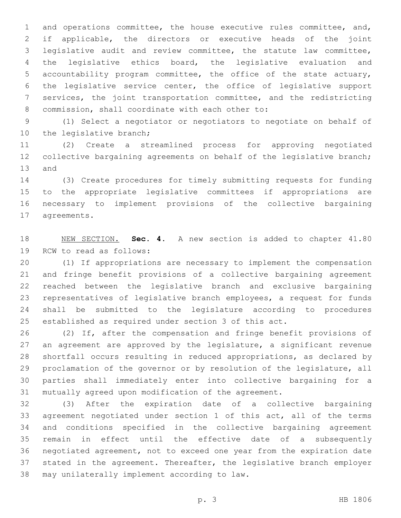and operations committee, the house executive rules committee, and, if applicable, the directors or executive heads of the joint legislative audit and review committee, the statute law committee, the legislative ethics board, the legislative evaluation and accountability program committee, the office of the state actuary, the legislative service center, the office of legislative support services, the joint transportation committee, and the redistricting 8 commission, shall coordinate with each other to:

 (1) Select a negotiator or negotiators to negotiate on behalf of 10 the legislative branch;

 (2) Create a streamlined process for approving negotiated 12 collective bargaining agreements on behalf of the legislative branch; 13 and

 (3) Create procedures for timely submitting requests for funding to the appropriate legislative committees if appropriations are necessary to implement provisions of the collective bargaining 17 agreements.

 NEW SECTION. **Sec. 4.** A new section is added to chapter 41.80 19 RCW to read as follows:

 (1) If appropriations are necessary to implement the compensation and fringe benefit provisions of a collective bargaining agreement reached between the legislative branch and exclusive bargaining representatives of legislative branch employees, a request for funds shall be submitted to the legislature according to procedures established as required under section 3 of this act.

 (2) If, after the compensation and fringe benefit provisions of an agreement are approved by the legislature, a significant revenue shortfall occurs resulting in reduced appropriations, as declared by proclamation of the governor or by resolution of the legislature, all parties shall immediately enter into collective bargaining for a mutually agreed upon modification of the agreement.

 (3) After the expiration date of a collective bargaining agreement negotiated under section 1 of this act, all of the terms and conditions specified in the collective bargaining agreement remain in effect until the effective date of a subsequently negotiated agreement, not to exceed one year from the expiration date stated in the agreement. Thereafter, the legislative branch employer 38 may unilaterally implement according to law.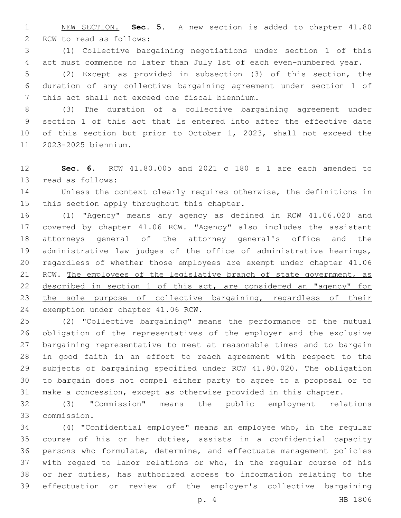NEW SECTION. **Sec. 5.** A new section is added to chapter 41.80 2 RCW to read as follows:

 (1) Collective bargaining negotiations under section 1 of this act must commence no later than July 1st of each even-numbered year.

 (2) Except as provided in subsection (3) of this section, the duration of any collective bargaining agreement under section 1 of 7 this act shall not exceed one fiscal biennium.

 (3) The duration of a collective bargaining agreement under section 1 of this act that is entered into after the effective date of this section but prior to October 1, 2023, shall not exceed the 2023-2025 biennium.11

 **Sec. 6.** RCW 41.80.005 and 2021 c 180 s 1 are each amended to 13 read as follows:

 Unless the context clearly requires otherwise, the definitions in 15 this section apply throughout this chapter.

 (1) "Agency" means any agency as defined in RCW 41.06.020 and covered by chapter 41.06 RCW. "Agency" also includes the assistant attorneys general of the attorney general's office and the administrative law judges of the office of administrative hearings, regardless of whether those employees are exempt under chapter 41.06 21 RCW. The employees of the legislative branch of state government, as 22 described in section 1 of this act, are considered an "agency" for the sole purpose of collective bargaining, regardless of their exemption under chapter 41.06 RCW.

 (2) "Collective bargaining" means the performance of the mutual obligation of the representatives of the employer and the exclusive bargaining representative to meet at reasonable times and to bargain in good faith in an effort to reach agreement with respect to the subjects of bargaining specified under RCW 41.80.020. The obligation to bargain does not compel either party to agree to a proposal or to make a concession, except as otherwise provided in this chapter.

 (3) "Commission" means the public employment relations commission.33

 (4) "Confidential employee" means an employee who, in the regular course of his or her duties, assists in a confidential capacity persons who formulate, determine, and effectuate management policies with regard to labor relations or who, in the regular course of his or her duties, has authorized access to information relating to the effectuation or review of the employer's collective bargaining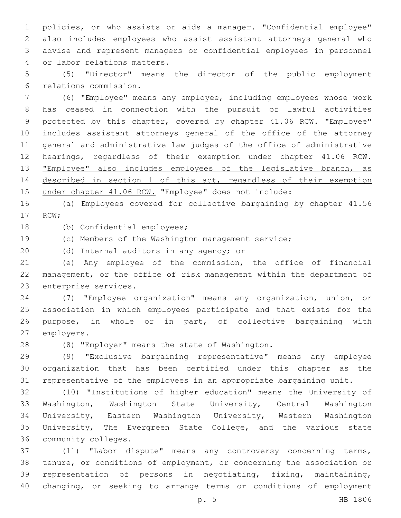policies, or who assists or aids a manager. "Confidential employee" also includes employees who assist assistant attorneys general who advise and represent managers or confidential employees in personnel 4 or labor relations matters.

 (5) "Director" means the director of the public employment relations commission.6

 (6) "Employee" means any employee, including employees whose work has ceased in connection with the pursuit of lawful activities protected by this chapter, covered by chapter 41.06 RCW. "Employee" includes assistant attorneys general of the office of the attorney general and administrative law judges of the office of administrative hearings, regardless of their exemption under chapter 41.06 RCW. **"Employee"** also includes employees of the legislative branch, as 14 described in section 1 of this act, regardless of their exemption under chapter 41.06 RCW. "Employee" does not include:

 (a) Employees covered for collective bargaining by chapter 41.56 17 RCW;

18 (b) Confidential employees;

(c) Members of the Washington management service;

20 (d) Internal auditors in any agency; or

 (e) Any employee of the commission, the office of financial management, or the office of risk management within the department of 23 enterprise services.

 (7) "Employee organization" means any organization, union, or association in which employees participate and that exists for the purpose, in whole or in part, of collective bargaining with 27 employers.

28 (8) "Employer" means the state of Washington.

 (9) "Exclusive bargaining representative" means any employee organization that has been certified under this chapter as the representative of the employees in an appropriate bargaining unit.

 (10) "Institutions of higher education" means the University of Washington, Washington State University, Central Washington University, Eastern Washington University, Western Washington University, The Evergreen State College, and the various state 36 community colleges.

 (11) "Labor dispute" means any controversy concerning terms, tenure, or conditions of employment, or concerning the association or representation of persons in negotiating, fixing, maintaining, changing, or seeking to arrange terms or conditions of employment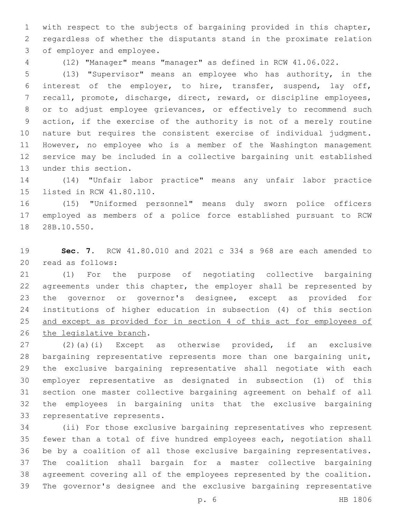with respect to the subjects of bargaining provided in this chapter, regardless of whether the disputants stand in the proximate relation 3 of employer and employee.

(12) "Manager" means "manager" as defined in RCW 41.06.022.

 (13) "Supervisor" means an employee who has authority, in the interest of the employer, to hire, transfer, suspend, lay off, recall, promote, discharge, direct, reward, or discipline employees, or to adjust employee grievances, or effectively to recommend such action, if the exercise of the authority is not of a merely routine nature but requires the consistent exercise of individual judgment. However, no employee who is a member of the Washington management service may be included in a collective bargaining unit established 13 under this section.

 (14) "Unfair labor practice" means any unfair labor practice 15 listed in RCW 41.80.110.

 (15) "Uniformed personnel" means duly sworn police officers employed as members of a police force established pursuant to RCW 18 28B.10.550.

 **Sec. 7.** RCW 41.80.010 and 2021 c 334 s 968 are each amended to 20 read as follows:

 (1) For the purpose of negotiating collective bargaining agreements under this chapter, the employer shall be represented by the governor or governor's designee, except as provided for institutions of higher education in subsection (4) of this section and except as provided for in section 4 of this act for employees of 26 the legislative branch.

 (2)(a)(i) Except as otherwise provided, if an exclusive bargaining representative represents more than one bargaining unit, the exclusive bargaining representative shall negotiate with each employer representative as designated in subsection (1) of this section one master collective bargaining agreement on behalf of all the employees in bargaining units that the exclusive bargaining 33 representative represents.

 (ii) For those exclusive bargaining representatives who represent fewer than a total of five hundred employees each, negotiation shall be by a coalition of all those exclusive bargaining representatives. The coalition shall bargain for a master collective bargaining agreement covering all of the employees represented by the coalition. The governor's designee and the exclusive bargaining representative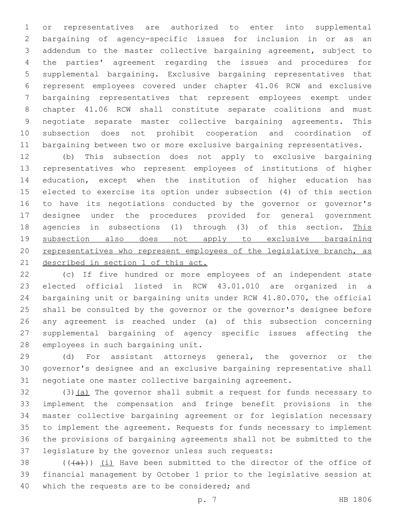or representatives are authorized to enter into supplemental bargaining of agency-specific issues for inclusion in or as an addendum to the master collective bargaining agreement, subject to the parties' agreement regarding the issues and procedures for supplemental bargaining. Exclusive bargaining representatives that represent employees covered under chapter 41.06 RCW and exclusive bargaining representatives that represent employees exempt under chapter 41.06 RCW shall constitute separate coalitions and must negotiate separate master collective bargaining agreements. This subsection does not prohibit cooperation and coordination of bargaining between two or more exclusive bargaining representatives.

 (b) This subsection does not apply to exclusive bargaining representatives who represent employees of institutions of higher education, except when the institution of higher education has elected to exercise its option under subsection (4) of this section to have its negotiations conducted by the governor or governor's designee under the procedures provided for general government agencies in subsections (1) through (3) of this section. This subsection also does not apply to exclusive bargaining 20 representatives who represent employees of the legislative branch, as 21 described in section 1 of this act.

 (c) If five hundred or more employees of an independent state elected official listed in RCW 43.01.010 are organized in a bargaining unit or bargaining units under RCW 41.80.070, the official shall be consulted by the governor or the governor's designee before any agreement is reached under (a) of this subsection concerning supplemental bargaining of agency specific issues affecting the 28 employees in such bargaining unit.

 (d) For assistant attorneys general, the governor or the governor's designee and an exclusive bargaining representative shall negotiate one master collective bargaining agreement.

 (3)(a) The governor shall submit a request for funds necessary to implement the compensation and fringe benefit provisions in the master collective bargaining agreement or for legislation necessary to implement the agreement. Requests for funds necessary to implement the provisions of bargaining agreements shall not be submitted to the 37 legislature by the governor unless such requests:

38  $((+a))$   $(i)$  Have been submitted to the director of the office of financial management by October 1 prior to the legislative session at 40 which the requests are to be considered; and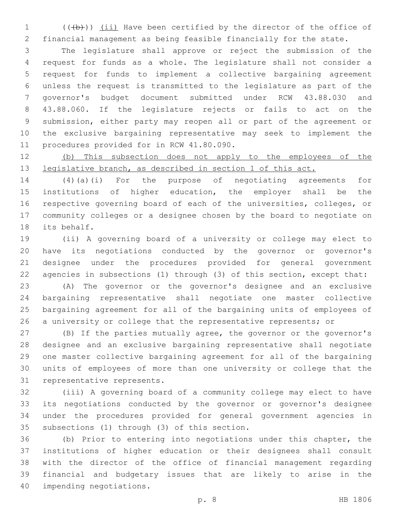1 (((b))) (ii) Have been certified by the director of the office of financial management as being feasible financially for the state.

 The legislature shall approve or reject the submission of the request for funds as a whole. The legislature shall not consider a request for funds to implement a collective bargaining agreement unless the request is transmitted to the legislature as part of the governor's budget document submitted under RCW 43.88.030 and 43.88.060. If the legislature rejects or fails to act on the submission, either party may reopen all or part of the agreement or the exclusive bargaining representative may seek to implement the 11 procedures provided for in RCW 41.80.090.

 (b) This subsection does not apply to the employees of the 13 legislative branch, as described in section 1 of this act.

 (4)(a)(i) For the purpose of negotiating agreements for institutions of higher education, the employer shall be the respective governing board of each of the universities, colleges, or community colleges or a designee chosen by the board to negotiate on 18 its behalf.

 (ii) A governing board of a university or college may elect to have its negotiations conducted by the governor or governor's designee under the procedures provided for general government agencies in subsections (1) through (3) of this section, except that:

 (A) The governor or the governor's designee and an exclusive bargaining representative shall negotiate one master collective bargaining agreement for all of the bargaining units of employees of 26 a university or college that the representative represents; or

 (B) If the parties mutually agree, the governor or the governor's designee and an exclusive bargaining representative shall negotiate one master collective bargaining agreement for all of the bargaining units of employees of more than one university or college that the 31 representative represents.

 (iii) A governing board of a community college may elect to have its negotiations conducted by the governor or governor's designee under the procedures provided for general government agencies in 35 subsections (1) through (3) of this section.

 (b) Prior to entering into negotiations under this chapter, the institutions of higher education or their designees shall consult with the director of the office of financial management regarding financial and budgetary issues that are likely to arise in the 40 impending negotiations.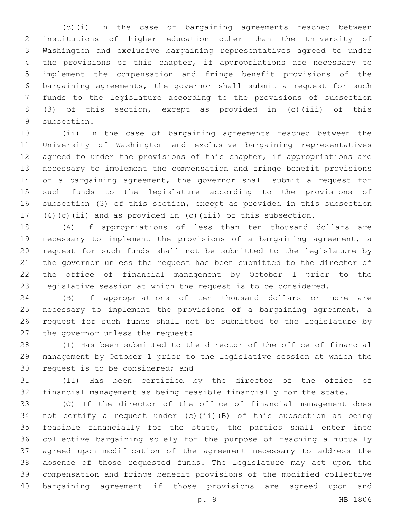(c)(i) In the case of bargaining agreements reached between institutions of higher education other than the University of Washington and exclusive bargaining representatives agreed to under the provisions of this chapter, if appropriations are necessary to implement the compensation and fringe benefit provisions of the bargaining agreements, the governor shall submit a request for such funds to the legislature according to the provisions of subsection (3) of this section, except as provided in (c)(iii) of this 9 subsection.

 (ii) In the case of bargaining agreements reached between the University of Washington and exclusive bargaining representatives 12 agreed to under the provisions of this chapter, if appropriations are necessary to implement the compensation and fringe benefit provisions of a bargaining agreement, the governor shall submit a request for such funds to the legislature according to the provisions of subsection (3) of this section, except as provided in this subsection (4)(c)(ii) and as provided in (c)(iii) of this subsection.

 (A) If appropriations of less than ten thousand dollars are necessary to implement the provisions of a bargaining agreement, a request for such funds shall not be submitted to the legislature by the governor unless the request has been submitted to the director of the office of financial management by October 1 prior to the legislative session at which the request is to be considered.

 (B) If appropriations of ten thousand dollars or more are necessary to implement the provisions of a bargaining agreement, a request for such funds shall not be submitted to the legislature by 27 the governor unless the request:

 (I) Has been submitted to the director of the office of financial management by October 1 prior to the legislative session at which the 30 request is to be considered; and

 (II) Has been certified by the director of the office of financial management as being feasible financially for the state.

 (C) If the director of the office of financial management does not certify a request under (c)(ii)(B) of this subsection as being feasible financially for the state, the parties shall enter into collective bargaining solely for the purpose of reaching a mutually agreed upon modification of the agreement necessary to address the absence of those requested funds. The legislature may act upon the compensation and fringe benefit provisions of the modified collective bargaining agreement if those provisions are agreed upon and

p. 9 HB 1806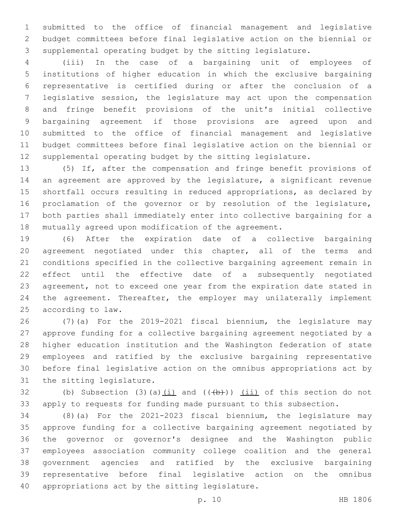submitted to the office of financial management and legislative budget committees before final legislative action on the biennial or supplemental operating budget by the sitting legislature.

 (iii) In the case of a bargaining unit of employees of institutions of higher education in which the exclusive bargaining representative is certified during or after the conclusion of a legislative session, the legislature may act upon the compensation and fringe benefit provisions of the unit's initial collective bargaining agreement if those provisions are agreed upon and submitted to the office of financial management and legislative budget committees before final legislative action on the biennial or supplemental operating budget by the sitting legislature.

 (5) If, after the compensation and fringe benefit provisions of an agreement are approved by the legislature, a significant revenue shortfall occurs resulting in reduced appropriations, as declared by proclamation of the governor or by resolution of the legislature, both parties shall immediately enter into collective bargaining for a mutually agreed upon modification of the agreement.

 (6) After the expiration date of a collective bargaining agreement negotiated under this chapter, all of the terms and conditions specified in the collective bargaining agreement remain in effect until the effective date of a subsequently negotiated agreement, not to exceed one year from the expiration date stated in 24 the agreement. Thereafter, the employer may unilaterally implement 25 according to law.

 (7)(a) For the 2019-2021 fiscal biennium, the legislature may approve funding for a collective bargaining agreement negotiated by a higher education institution and the Washington federation of state employees and ratified by the exclusive bargaining representative before final legislative action on the omnibus appropriations act by 31 the sitting legislature.

32 (b) Subsection (3)(a) $(i)$  and  $((+b))$   $(i)$  of this section do not apply to requests for funding made pursuant to this subsection.

 (8)(a) For the 2021-2023 fiscal biennium, the legislature may approve funding for a collective bargaining agreement negotiated by the governor or governor's designee and the Washington public employees association community college coalition and the general government agencies and ratified by the exclusive bargaining representative before final legislative action on the omnibus 40 appropriations act by the sitting legislature.